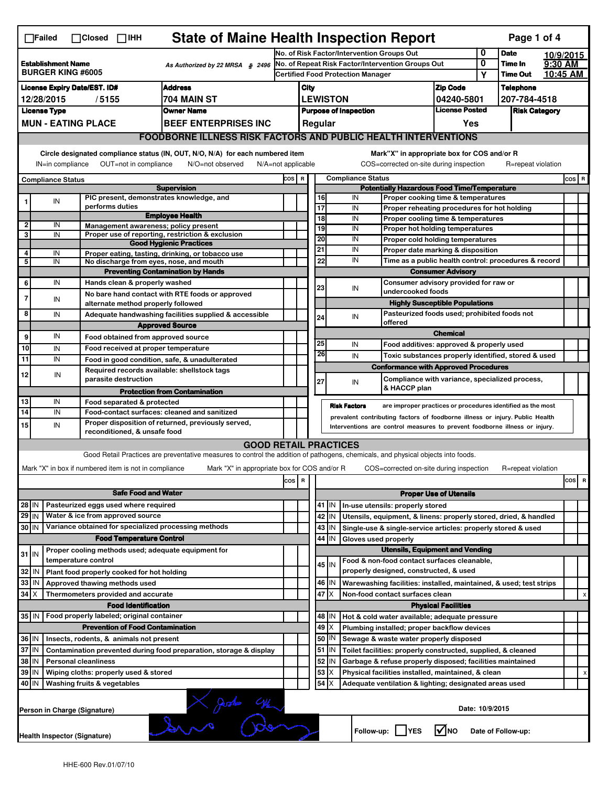| <b>State of Maine Health Inspection Report</b><br>Page 1 of 4<br>$\Box$ Failed<br>$\Box$ Closed<br>$\Box$ IHH |                                                                                                                                                                           |                               |                                                       |                                                                                                                                                                                                                                                                                                                                              |                                                                                               |                                                                                                                                                            |                                                                                |           |                                             |                                                                                           |                            |                     |                           |                      |         |                         |  |
|---------------------------------------------------------------------------------------------------------------|---------------------------------------------------------------------------------------------------------------------------------------------------------------------------|-------------------------------|-------------------------------------------------------|----------------------------------------------------------------------------------------------------------------------------------------------------------------------------------------------------------------------------------------------------------------------------------------------------------------------------------------------|-----------------------------------------------------------------------------------------------|------------------------------------------------------------------------------------------------------------------------------------------------------------|--------------------------------------------------------------------------------|-----------|---------------------------------------------|-------------------------------------------------------------------------------------------|----------------------------|---------------------|---------------------------|----------------------|---------|-------------------------|--|
|                                                                                                               |                                                                                                                                                                           |                               |                                                       |                                                                                                                                                                                                                                                                                                                                              |                                                                                               | 0<br>No. of Risk Factor/Intervention Groups Out                                                                                                            |                                                                                |           |                                             |                                                                                           |                            | <b>Date</b>         | 10/9/2015                 |                      |         |                         |  |
|                                                                                                               | <b>Establishment Name</b><br>As Authorized by 22 MRSA § 2496<br><b>BURGER KING #6005</b>                                                                                  |                               |                                                       |                                                                                                                                                                                                                                                                                                                                              | No. of Repeat Risk Factor/Intervention Groups Out<br><b>Certified Food Protection Manager</b> |                                                                                                                                                            |                                                                                |           |                                             |                                                                                           | 0<br>Υ                     | Time In<br>Time Out | 9:30 AM<br>10:45 AM       |                      |         |                         |  |
|                                                                                                               |                                                                                                                                                                           |                               |                                                       |                                                                                                                                                                                                                                                                                                                                              |                                                                                               |                                                                                                                                                            |                                                                                |           |                                             |                                                                                           |                            |                     |                           |                      |         |                         |  |
| <b>Address</b><br><b>License Expiry Date/EST. ID#</b>                                                         |                                                                                                                                                                           |                               |                                                       |                                                                                                                                                                                                                                                                                                                                              |                                                                                               | City                                                                                                                                                       |                                                                                |           |                                             |                                                                                           | <b>Zip Code</b>            |                     | Telephone<br>207-784-4518 |                      |         |                         |  |
|                                                                                                               | 704 MAIN ST<br>12/28/2015<br>/5155<br><b>License Type</b><br><b>Owner Name</b>                                                                                            |                               |                                                       |                                                                                                                                                                                                                                                                                                                                              |                                                                                               | <b>LEWISTON</b><br>04240-5801<br><b>License Posted</b><br><b>Purpose of Inspection</b>                                                                     |                                                                                |           |                                             |                                                                                           |                            |                     |                           | <b>Risk Category</b> |         |                         |  |
|                                                                                                               |                                                                                                                                                                           | <b>MUN - EATING PLACE</b>     |                                                       | <b>BEEF ENTERPRISES INC</b>                                                                                                                                                                                                                                                                                                                  |                                                                                               |                                                                                                                                                            |                                                                                |           |                                             |                                                                                           |                            |                     |                           |                      |         |                         |  |
|                                                                                                               |                                                                                                                                                                           |                               |                                                       |                                                                                                                                                                                                                                                                                                                                              |                                                                                               | Regular<br>Yes<br><b>FOODBORNE ILLNESS RISK FACTORS AND PUBLIC HEALTH INTERVENTIONS</b>                                                                    |                                                                                |           |                                             |                                                                                           |                            |                     |                           |                      |         |                         |  |
|                                                                                                               | Circle designated compliance status (IN, OUT, N/O, N/A) for each numbered item<br>OUT=not in compliance<br>IN=in compliance<br>N/O=not observed<br>$N/A = not$ applicable |                               |                                                       |                                                                                                                                                                                                                                                                                                                                              |                                                                                               |                                                                                                                                                            |                                                                                |           |                                             | Mark"X" in appropriate box for COS and/or R<br>COS=corrected on-site during inspection    |                            |                     |                           | R=repeat violation   |         |                         |  |
|                                                                                                               |                                                                                                                                                                           |                               |                                                       |                                                                                                                                                                                                                                                                                                                                              | COS R                                                                                         |                                                                                                                                                            |                                                                                |           |                                             |                                                                                           |                            |                     |                           |                      | $cos$ R |                         |  |
|                                                                                                               | <b>Compliance Status</b>                                                                                                                                                  |                               |                                                       | <b>Supervision</b>                                                                                                                                                                                                                                                                                                                           |                                                                                               |                                                                                                                                                            | <b>Compliance Status</b><br><b>Potentially Hazardous Food Time/Temperature</b> |           |                                             |                                                                                           |                            |                     |                           |                      |         |                         |  |
| 1                                                                                                             | IN                                                                                                                                                                        |                               |                                                       | PIC present, demonstrates knowledge, and                                                                                                                                                                                                                                                                                                     |                                                                                               |                                                                                                                                                            | 16                                                                             |           | IN                                          | Proper cooking time & temperatures                                                        |                            |                     |                           |                      |         |                         |  |
|                                                                                                               |                                                                                                                                                                           | performs duties               |                                                       | <b>Employee Health</b>                                                                                                                                                                                                                                                                                                                       |                                                                                               |                                                                                                                                                            | 17                                                                             |           | IN                                          | Proper reheating procedures for hot holding                                               |                            |                     |                           |                      |         |                         |  |
| $\mathbf 2$                                                                                                   | IN                                                                                                                                                                        |                               |                                                       | Management awareness; policy present                                                                                                                                                                                                                                                                                                         |                                                                                               |                                                                                                                                                            | $\overline{18}$                                                                |           | IN                                          | Proper cooling time & temperatures                                                        |                            |                     |                           |                      |         |                         |  |
| 3                                                                                                             | IN                                                                                                                                                                        |                               |                                                       | Proper use of reporting, restriction & exclusion                                                                                                                                                                                                                                                                                             |                                                                                               |                                                                                                                                                            | 19                                                                             |           | IN<br>IN                                    | Proper hot holding temperatures                                                           |                            |                     |                           |                      |         |                         |  |
|                                                                                                               |                                                                                                                                                                           |                               |                                                       | <b>Good Hygienic Practices</b>                                                                                                                                                                                                                                                                                                               |                                                                                               |                                                                                                                                                            | 20<br>21                                                                       |           | IN                                          | Proper cold holding temperatures                                                          |                            |                     |                           |                      |         |                         |  |
| 4                                                                                                             | IN                                                                                                                                                                        |                               |                                                       | Proper eating, tasting, drinking, or tobacco use                                                                                                                                                                                                                                                                                             |                                                                                               |                                                                                                                                                            | 22                                                                             |           | IN                                          | Proper date marking & disposition<br>Time as a public health control: procedures & record |                            |                     |                           |                      |         |                         |  |
| 5                                                                                                             | IN                                                                                                                                                                        |                               |                                                       | No discharge from eyes, nose, and mouth<br><b>Preventing Contamination by Hands</b>                                                                                                                                                                                                                                                          |                                                                                               |                                                                                                                                                            |                                                                                |           | <b>Consumer Advisory</b>                    |                                                                                           |                            |                     |                           |                      |         |                         |  |
|                                                                                                               | IN                                                                                                                                                                        |                               | Hands clean & properly washed                         |                                                                                                                                                                                                                                                                                                                                              |                                                                                               |                                                                                                                                                            |                                                                                |           |                                             | Consumer advisory provided for raw or                                                     |                            |                     |                           |                      |         |                         |  |
| 6                                                                                                             |                                                                                                                                                                           |                               |                                                       | No bare hand contact with RTE foods or approved                                                                                                                                                                                                                                                                                              |                                                                                               |                                                                                                                                                            | 23                                                                             |           | IN                                          | undercooked foods                                                                         |                            |                     |                           |                      |         |                         |  |
| 7                                                                                                             | IN                                                                                                                                                                        |                               | alternate method properly followed                    |                                                                                                                                                                                                                                                                                                                                              |                                                                                               |                                                                                                                                                            |                                                                                |           |                                             | <b>Highly Susceptible Populations</b>                                                     |                            |                     |                           |                      |         |                         |  |
| 8                                                                                                             | IN                                                                                                                                                                        |                               |                                                       | Adequate handwashing facilities supplied & accessible                                                                                                                                                                                                                                                                                        |                                                                                               |                                                                                                                                                            |                                                                                |           | IN                                          | Pasteurized foods used; prohibited foods not                                              |                            |                     |                           |                      |         |                         |  |
|                                                                                                               |                                                                                                                                                                           |                               |                                                       | <b>Approved Source</b>                                                                                                                                                                                                                                                                                                                       |                                                                                               |                                                                                                                                                            | 24                                                                             |           |                                             | offered                                                                                   |                            |                     |                           |                      |         |                         |  |
| 9                                                                                                             | IN                                                                                                                                                                        |                               |                                                       | Food obtained from approved source                                                                                                                                                                                                                                                                                                           |                                                                                               |                                                                                                                                                            |                                                                                |           |                                             |                                                                                           | <b>Chemical</b>            |                     |                           |                      |         |                         |  |
| 10                                                                                                            | IN                                                                                                                                                                        |                               | Food received at proper temperature                   |                                                                                                                                                                                                                                                                                                                                              |                                                                                               |                                                                                                                                                            | 25                                                                             |           | IN                                          | Food additives: approved & properly used                                                  |                            |                     |                           |                      |         |                         |  |
| 11                                                                                                            | IN                                                                                                                                                                        |                               |                                                       | Food in good condition, safe, & unadulterated                                                                                                                                                                                                                                                                                                |                                                                                               |                                                                                                                                                            | 26                                                                             |           | IN                                          | Toxic substances properly identified, stored & used                                       |                            |                     |                           |                      |         |                         |  |
|                                                                                                               |                                                                                                                                                                           |                               |                                                       | Required records available: shellstock tags                                                                                                                                                                                                                                                                                                  |                                                                                               |                                                                                                                                                            |                                                                                |           |                                             | <b>Conformance with Approved Procedures</b>                                               |                            |                     |                           |                      |         |                         |  |
| 12                                                                                                            | IN                                                                                                                                                                        |                               | parasite destruction                                  |                                                                                                                                                                                                                                                                                                                                              |                                                                                               |                                                                                                                                                            | 27                                                                             |           | IN                                          | Compliance with variance, specialized process,                                            |                            |                     |                           |                      |         |                         |  |
|                                                                                                               |                                                                                                                                                                           |                               |                                                       | <b>Protection from Contamination</b>                                                                                                                                                                                                                                                                                                         |                                                                                               |                                                                                                                                                            |                                                                                |           |                                             | & HACCP plan                                                                              |                            |                     |                           |                      |         |                         |  |
| 13                                                                                                            | IN                                                                                                                                                                        |                               | Food separated & protected                            |                                                                                                                                                                                                                                                                                                                                              |                                                                                               |                                                                                                                                                            |                                                                                |           | <b>Risk Factors</b>                         | are improper practices or procedures identified as the most                               |                            |                     |                           |                      |         |                         |  |
| 14                                                                                                            | IN                                                                                                                                                                        |                               |                                                       | Food-contact surfaces: cleaned and sanitized                                                                                                                                                                                                                                                                                                 |                                                                                               |                                                                                                                                                            |                                                                                |           |                                             |                                                                                           |                            |                     |                           |                      |         |                         |  |
| 15                                                                                                            | IN                                                                                                                                                                        |                               | reconditioned, & unsafe food                          | Proper disposition of returned, previously served,                                                                                                                                                                                                                                                                                           |                                                                                               | prevalent contributing factors of foodborne illness or injury. Public Health<br>Interventions are control measures to prevent foodborne illness or injury. |                                                                                |           |                                             |                                                                                           |                            |                     |                           |                      |         |                         |  |
|                                                                                                               |                                                                                                                                                                           |                               |                                                       |                                                                                                                                                                                                                                                                                                                                              |                                                                                               |                                                                                                                                                            |                                                                                |           |                                             |                                                                                           |                            |                     |                           |                      |         |                         |  |
|                                                                                                               |                                                                                                                                                                           |                               |                                                       | <b>GOOD RETAIL PRACTICES</b><br>Good Retail Practices are preventative measures to control the addition of pathogens, chemicals, and physical objects into foods.                                                                                                                                                                            |                                                                                               |                                                                                                                                                            |                                                                                |           |                                             |                                                                                           |                            |                     |                           |                      |         |                         |  |
|                                                                                                               |                                                                                                                                                                           |                               |                                                       |                                                                                                                                                                                                                                                                                                                                              |                                                                                               |                                                                                                                                                            |                                                                                |           |                                             |                                                                                           |                            |                     |                           |                      |         |                         |  |
|                                                                                                               |                                                                                                                                                                           |                               | Mark "X" in box if numbered item is not in compliance | Mark "X" in appropriate box for COS and/or R                                                                                                                                                                                                                                                                                                 |                                                                                               |                                                                                                                                                            |                                                                                |           |                                             | COS=corrected on-site during inspection                                                   |                            |                     | R=repeat violation        |                      |         |                         |  |
|                                                                                                               |                                                                                                                                                                           |                               |                                                       |                                                                                                                                                                                                                                                                                                                                              | cos                                                                                           | R                                                                                                                                                          |                                                                                |           |                                             |                                                                                           |                            |                     |                           |                      | cos     | $\overline{\mathbf{R}}$ |  |
|                                                                                                               | <b>Safe Food and Water</b>                                                                                                                                                |                               |                                                       |                                                                                                                                                                                                                                                                                                                                              |                                                                                               |                                                                                                                                                            |                                                                                |           |                                             | <b>Proper Use of Utensils</b>                                                             |                            |                     |                           |                      |         |                         |  |
| 28 IN                                                                                                         |                                                                                                                                                                           |                               | Pasteurized eggs used where required                  |                                                                                                                                                                                                                                                                                                                                              |                                                                                               |                                                                                                                                                            |                                                                                | 41 IN     |                                             | In-use utensils: properly stored                                                          |                            |                     |                           |                      |         |                         |  |
| 29 IN                                                                                                         |                                                                                                                                                                           |                               | Water & ice from approved source                      |                                                                                                                                                                                                                                                                                                                                              |                                                                                               |                                                                                                                                                            |                                                                                | 42 IN     |                                             | Utensils, equipment, & linens: properly stored, dried, & handled                          |                            |                     |                           |                      |         |                         |  |
| 30 IN                                                                                                         |                                                                                                                                                                           |                               |                                                       | Variance obtained for specialized processing methods                                                                                                                                                                                                                                                                                         |                                                                                               |                                                                                                                                                            |                                                                                | 43   IN   |                                             | Single-use & single-service articles: properly stored & used                              |                            |                     |                           |                      |         |                         |  |
|                                                                                                               |                                                                                                                                                                           |                               | <b>Food Temperature Control</b>                       |                                                                                                                                                                                                                                                                                                                                              |                                                                                               |                                                                                                                                                            |                                                                                | 44 I IN   | Gloves used properly                        |                                                                                           |                            |                     |                           |                      |         |                         |  |
| $31$ IN                                                                                                       |                                                                                                                                                                           |                               |                                                       | Proper cooling methods used; adequate equipment for                                                                                                                                                                                                                                                                                          |                                                                                               |                                                                                                                                                            |                                                                                |           |                                             | <b>Utensils, Equipment and Vending</b>                                                    |                            |                     |                           |                      |         |                         |  |
|                                                                                                               |                                                                                                                                                                           | temperature control           |                                                       |                                                                                                                                                                                                                                                                                                                                              |                                                                                               |                                                                                                                                                            |                                                                                | 45 IN     |                                             | Food & non-food contact surfaces cleanable,                                               |                            |                     |                           |                      |         |                         |  |
| 32 IN                                                                                                         |                                                                                                                                                                           |                               | Plant food properly cooked for hot holding            |                                                                                                                                                                                                                                                                                                                                              |                                                                                               |                                                                                                                                                            |                                                                                |           |                                             | properly designed, constructed, & used                                                    |                            |                     |                           |                      |         |                         |  |
| 33   IN                                                                                                       |                                                                                                                                                                           | Approved thawing methods used |                                                       |                                                                                                                                                                                                                                                                                                                                              |                                                                                               |                                                                                                                                                            |                                                                                | 46   IN   |                                             | Warewashing facilities: installed, maintained, & used; test strips                        |                            |                     |                           |                      |         |                         |  |
| $34$ $\times$                                                                                                 |                                                                                                                                                                           |                               | Thermometers provided and accurate                    |                                                                                                                                                                                                                                                                                                                                              |                                                                                               |                                                                                                                                                            | 47                                                                             | X         |                                             | Non-food contact surfaces clean                                                           |                            |                     |                           |                      |         | X                       |  |
|                                                                                                               |                                                                                                                                                                           |                               | <b>Food Identification</b>                            |                                                                                                                                                                                                                                                                                                                                              |                                                                                               |                                                                                                                                                            |                                                                                |           |                                             |                                                                                           | <b>Physical Facilities</b> |                     |                           |                      |         |                         |  |
|                                                                                                               | 35 IN   Food properly labeled; original container                                                                                                                         |                               |                                                       |                                                                                                                                                                                                                                                                                                                                              |                                                                                               |                                                                                                                                                            |                                                                                | 48   IN   |                                             | Hot & cold water available; adequate pressure                                             |                            |                     |                           |                      |         |                         |  |
| <b>Prevention of Food Contamination</b>                                                                       |                                                                                                                                                                           |                               |                                                       |                                                                                                                                                                                                                                                                                                                                              |                                                                                               | $49 \times$                                                                                                                                                |                                                                                |           | Plumbing installed; proper backflow devices |                                                                                           |                            |                     |                           |                      |         |                         |  |
| 36 IN<br>Insects, rodents, & animals not present                                                              |                                                                                                                                                                           |                               |                                                       |                                                                                                                                                                                                                                                                                                                                              |                                                                                               |                                                                                                                                                            |                                                                                | 50   IN   |                                             | Sewage & waste water properly disposed                                                    |                            |                     |                           |                      |         |                         |  |
| 37 IN<br>Contamination prevented during food preparation, storage & display                                   |                                                                                                                                                                           |                               |                                                       |                                                                                                                                                                                                                                                                                                                                              |                                                                                               |                                                                                                                                                            |                                                                                | $51$   IN |                                             | Toilet facilities: properly constructed, supplied, & cleaned                              |                            |                     |                           |                      |         |                         |  |
|                                                                                                               | 38   IN<br><b>Personal cleanliness</b>                                                                                                                                    |                               |                                                       |                                                                                                                                                                                                                                                                                                                                              |                                                                                               |                                                                                                                                                            |                                                                                | 52 IN     |                                             | Garbage & refuse properly disposed; facilities maintained                                 |                            |                     |                           |                      |         |                         |  |
|                                                                                                               | 39 IN<br>Wiping cloths: properly used & stored                                                                                                                            |                               |                                                       |                                                                                                                                                                                                                                                                                                                                              |                                                                                               |                                                                                                                                                            | 53                                                                             | X         |                                             | Physical facilities installed, maintained, & clean                                        |                            |                     |                           |                      |         | x                       |  |
|                                                                                                               | 40 IN<br>54<br>X<br>Washing fruits & vegetables<br>Adequate ventilation & lighting; designated areas used                                                                 |                               |                                                       |                                                                                                                                                                                                                                                                                                                                              |                                                                                               |                                                                                                                                                            |                                                                                |           |                                             |                                                                                           |                            |                     |                           |                      |         |                         |  |
|                                                                                                               |                                                                                                                                                                           |                               |                                                       |                                                                                                                                                                                                                                                                                                                                              |                                                                                               |                                                                                                                                                            |                                                                                |           |                                             |                                                                                           |                            |                     |                           |                      |         |                         |  |
|                                                                                                               |                                                                                                                                                                           | Person in Charge (Signature)  |                                                       | $\begin{picture}(120,10) \put(0,0){\line(1,0){155}} \put(15,0){\line(1,0){155}} \put(15,0){\line(1,0){155}} \put(15,0){\line(1,0){155}} \put(15,0){\line(1,0){155}} \put(15,0){\line(1,0){155}} \put(15,0){\line(1,0){155}} \put(15,0){\line(1,0){155}} \put(15,0){\line(1,0){155}} \put(15,0){\line(1,0){155}} \put(15,0){\line(1,0){155}}$ |                                                                                               |                                                                                                                                                            |                                                                                |           |                                             |                                                                                           |                            | Date: 10/9/2015     |                           |                      |         |                         |  |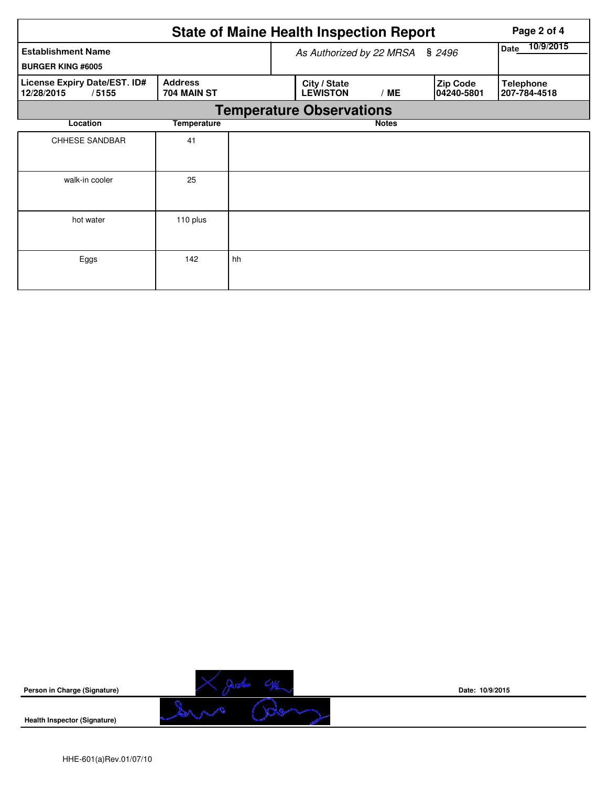|                                                       |                               |    | <b>State of Maine Health Inspection Report</b> |                   |                               | Page 2 of 4                      |  |  |  |  |
|-------------------------------------------------------|-------------------------------|----|------------------------------------------------|-------------------|-------------------------------|----------------------------------|--|--|--|--|
| <b>Establishment Name</b><br><b>BURGER KING #6005</b> |                               |    | As Authorized by 22 MRSA                       | 10/9/2015<br>Date |                               |                                  |  |  |  |  |
| License Expiry Date/EST. ID#<br>12/28/2015<br>/5155   | <b>Address</b><br>704 MAIN ST |    | City / State<br><b>LEWISTON</b>                | /ME               | <b>Zip Code</b><br>04240-5801 | <b>Telephone</b><br>207-784-4518 |  |  |  |  |
|                                                       |                               |    | <b>Temperature Observations</b>                |                   |                               |                                  |  |  |  |  |
| Location                                              | <b>Temperature</b>            |    |                                                | <b>Notes</b>      |                               |                                  |  |  |  |  |
| <b>CHHESE SANDBAR</b>                                 | 41                            |    |                                                |                   |                               |                                  |  |  |  |  |
| walk-in cooler                                        | 25                            |    |                                                |                   |                               |                                  |  |  |  |  |
| hot water                                             | 110 plus                      |    |                                                |                   |                               |                                  |  |  |  |  |
| Eggs                                                  | 142                           | hh |                                                |                   |                               |                                  |  |  |  |  |

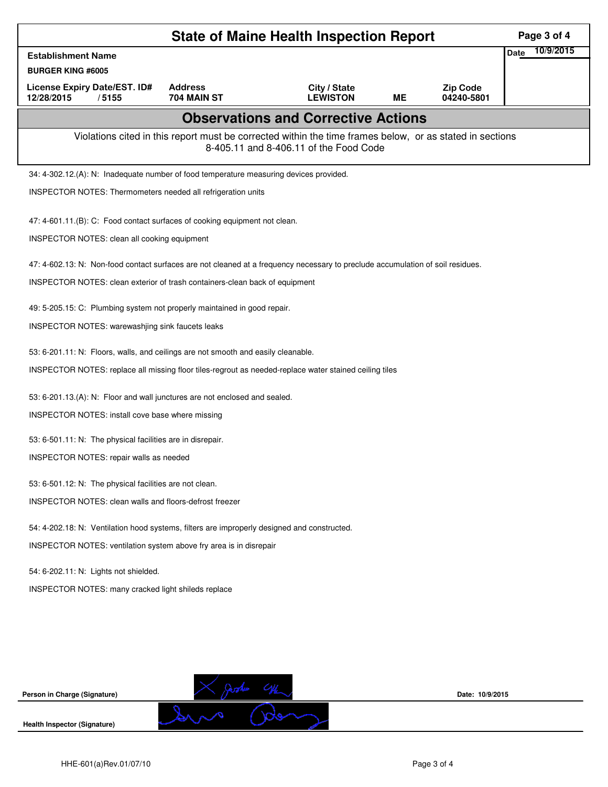|                                                                                                                                | Page 3 of 4                   |                                                                                                                                                    |           |                               |                          |
|--------------------------------------------------------------------------------------------------------------------------------|-------------------------------|----------------------------------------------------------------------------------------------------------------------------------------------------|-----------|-------------------------------|--------------------------|
| <b>Establishment Name</b>                                                                                                      |                               |                                                                                                                                                    |           |                               | 10/9/2015<br><b>Date</b> |
| <b>BURGER KING #6005</b>                                                                                                       |                               |                                                                                                                                                    |           |                               |                          |
| License Expiry Date/EST. ID#<br>12/28/2015<br>/5155                                                                            | <b>Address</b><br>704 MAIN ST | City / State<br><b>LEWISTON</b>                                                                                                                    | <b>ME</b> | <b>Zip Code</b><br>04240-5801 |                          |
|                                                                                                                                |                               | <b>Observations and Corrective Actions</b>                                                                                                         |           |                               |                          |
|                                                                                                                                |                               | Violations cited in this report must be corrected within the time frames below, or as stated in sections<br>8-405.11 and 8-406.11 of the Food Code |           |                               |                          |
| 34: 4-302.12.(A): N: Inadequate number of food temperature measuring devices provided.                                         |                               |                                                                                                                                                    |           |                               |                          |
| INSPECTOR NOTES: Thermometers needed all refrigeration units                                                                   |                               |                                                                                                                                                    |           |                               |                          |
| 47: 4-601.11.(B): C: Food contact surfaces of cooking equipment not clean.                                                     |                               |                                                                                                                                                    |           |                               |                          |
| INSPECTOR NOTES: clean all cooking equipment                                                                                   |                               |                                                                                                                                                    |           |                               |                          |
| 47: 4-602.13: N: Non-food contact surfaces are not cleaned at a frequency necessary to preclude accumulation of soil residues. |                               |                                                                                                                                                    |           |                               |                          |
| INSPECTOR NOTES: clean exterior of trash containers-clean back of equipment                                                    |                               |                                                                                                                                                    |           |                               |                          |
| 49: 5-205.15: C: Plumbing system not properly maintained in good repair.                                                       |                               |                                                                                                                                                    |           |                               |                          |
| INSPECTOR NOTES: warewashjing sink faucets leaks                                                                               |                               |                                                                                                                                                    |           |                               |                          |
| 53: 6-201.11: N: Floors, walls, and ceilings are not smooth and easily cleanable.                                              |                               |                                                                                                                                                    |           |                               |                          |
| INSPECTOR NOTES: replace all missing floor tiles-regrout as needed-replace water stained ceiling tiles                         |                               |                                                                                                                                                    |           |                               |                          |
| 53: 6-201.13.(A): N: Floor and wall junctures are not enclosed and sealed.                                                     |                               |                                                                                                                                                    |           |                               |                          |
| INSPECTOR NOTES: install cove base where missing                                                                               |                               |                                                                                                                                                    |           |                               |                          |
| 53: 6-501.11: N: The physical facilities are in disrepair.                                                                     |                               |                                                                                                                                                    |           |                               |                          |
| INSPECTOR NOTES: repair walls as needed                                                                                        |                               |                                                                                                                                                    |           |                               |                          |
| 53: 6-501.12: N: The physical facilities are not clean.                                                                        |                               |                                                                                                                                                    |           |                               |                          |
| INSPECTOR NOTES: clean walls and floors-defrost freezer                                                                        |                               |                                                                                                                                                    |           |                               |                          |
| 54: 4-202.18: N: Ventilation hood systems, filters are improperly designed and constructed.                                    |                               |                                                                                                                                                    |           |                               |                          |
| INSPECTOR NOTES: ventilation system above fry area is in disrepair                                                             |                               |                                                                                                                                                    |           |                               |                          |
| 54: 6-202.11: N: Lights not shielded.                                                                                          |                               |                                                                                                                                                    |           |                               |                          |
| INSPECTOR NOTES: many cracked light shileds replace                                                                            |                               |                                                                                                                                                    |           |                               |                          |
|                                                                                                                                |                               |                                                                                                                                                    |           |                               |                          |
|                                                                                                                                |                               |                                                                                                                                                    |           |                               |                          |
|                                                                                                                                |                               |                                                                                                                                                    |           |                               |                          |
|                                                                                                                                |                               |                                                                                                                                                    |           |                               |                          |
| Person in Charge (Signature)                                                                                                   |                               |                                                                                                                                                    |           | Date: 10/9/2015               |                          |
| <b>Health Inspector (Signature)</b>                                                                                            |                               |                                                                                                                                                    |           |                               |                          |